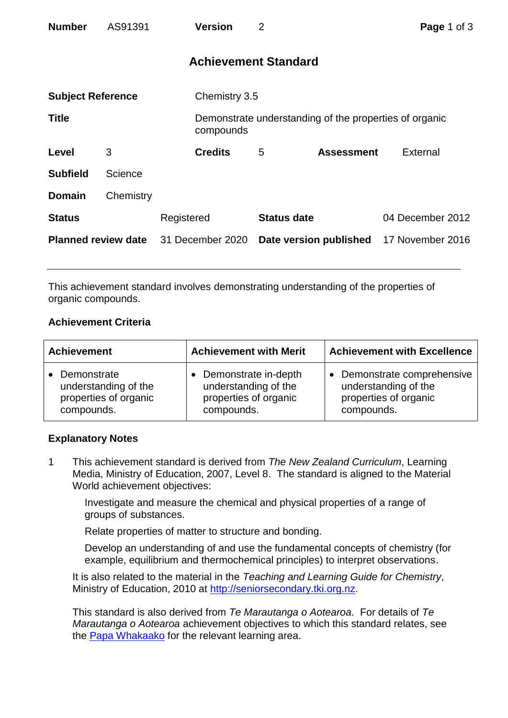| <b>Number</b>              | AS91391   |                  | <b>Version</b> | $\overline{2}$              |                                                        | Page 1 of 3      |
|----------------------------|-----------|------------------|----------------|-----------------------------|--------------------------------------------------------|------------------|
|                            |           |                  |                | <b>Achievement Standard</b> |                                                        |                  |
| <b>Subject Reference</b>   |           |                  | Chemistry 3.5  |                             |                                                        |                  |
| <b>Title</b>               |           |                  | compounds      |                             | Demonstrate understanding of the properties of organic |                  |
| Level                      | 3         |                  | <b>Credits</b> | 5                           | <b>Assessment</b>                                      | External         |
| <b>Subfield</b>            | Science   |                  |                |                             |                                                        |                  |
| <b>Domain</b>              | Chemistry |                  |                |                             |                                                        |                  |
| <b>Status</b>              |           | Registered       |                | <b>Status date</b>          |                                                        | 04 December 2012 |
| <b>Planned review date</b> |           | 31 December 2020 |                | Date version published      |                                                        | 17 November 2016 |

This achievement standard involves demonstrating understanding of the properties of organic compounds.

## **Achievement Criteria**

| <b>Achievement</b>                                                         | <b>Achievement with Merit</b>                                                       | <b>Achievement with Excellence</b>                                                                    |  |
|----------------------------------------------------------------------------|-------------------------------------------------------------------------------------|-------------------------------------------------------------------------------------------------------|--|
| Demonstrate<br>understanding of the<br>properties of organic<br>compounds. | Demonstrate in-depth<br>understanding of the<br>properties of organic<br>compounds. | Demonstrate comprehensive<br>$\bullet$<br>understanding of the<br>properties of organic<br>compounds. |  |

## **Explanatory Notes**

1 This achievement standard is derived from *The New Zealand Curriculum*, Learning Media, Ministry of Education, 2007, Level 8. The standard is aligned to the Material World achievement objectives:

Investigate and measure the chemical and physical properties of a range of groups of substances.

Relate properties of matter to structure and bonding.

Develop an understanding of and use the fundamental concepts of chemistry (for example, equilibrium and thermochemical principles) to interpret observations.

It is also related to the material in the *Teaching and Learning Guide for Chemistry*, Ministry of Education, 2010 at [http://seniorsecondary.tki.org.nz.](http://seniorsecondary.tki.org.nz/)

This standard is also derived from *Te Marautanga o Aotearoa*. For details of *Te Marautanga o Aotearoa* achievement objectives to which this standard relates, see the [Papa Whakaako](http://tmoa.tki.org.nz/Te-Marautanga-o-Aotearoa/Taumata-Matauranga-a-Motu-Ka-Taea) for the relevant learning area.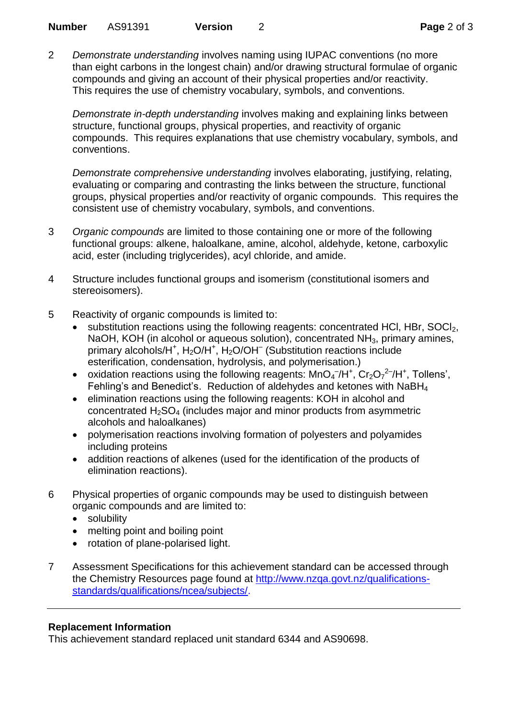2 *Demonstrate understanding* involves naming using IUPAC conventions (no more than eight carbons in the longest chain) and/or drawing structural formulae of organic compounds and giving an account of their physical properties and/or reactivity. This requires the use of chemistry vocabulary, symbols, and conventions.

*Demonstrate in-depth understanding* involves making and explaining links between structure, functional groups, physical properties, and reactivity of organic compounds. This requires explanations that use chemistry vocabulary, symbols, and conventions.

*Demonstrate comprehensive understanding* involves elaborating, justifying, relating, evaluating or comparing and contrasting the links between the structure, functional groups, physical properties and/or reactivity of organic compounds. This requires the consistent use of chemistry vocabulary, symbols, and conventions.

- 3 *Organic compounds* are limited to those containing one or more of the following functional groups: alkene, haloalkane, amine, alcohol, aldehyde, ketone, carboxylic acid, ester (including triglycerides), acyl chloride, and amide.
- 4 Structure includes functional groups and isomerism (constitutional isomers and stereoisomers).
- 5 Reactivity of organic compounds is limited to:
	- substitution reactions using the following reagents: concentrated HCl, HBr, SOCl<sub>2</sub>, NaOH, KOH (in alcohol or aqueous solution), concentrated  $NH<sub>3</sub>$ , primary amines, primary alcohols/H<sup>+</sup>, H<sub>2</sub>O/H<sup>+</sup>, H<sub>2</sub>O/OH<sup>-</sup> (Substitution reactions include esterification, condensation, hydrolysis, and polymerisation.)
	- oxidation reactions using the following reagents:  $MnO<sub>4</sub><sup>-7</sup>/H<sup>+</sup>, Cr<sub>2</sub>O<sub>7</sub><sup>2</sup><sup>-7</sup>/H<sup>+</sup>, Tollens',$ Fehling's and Benedict's. Reduction of aldehydes and ketones with NaBH<sup>4</sup>
	- elimination reactions using the following reagents: KOH in alcohol and concentrated  $H_2SO_4$  (includes major and minor products from asymmetric alcohols and haloalkanes)
	- polymerisation reactions involving formation of polyesters and polyamides including proteins
	- addition reactions of alkenes (used for the identification of the products of elimination reactions).
- 6 Physical properties of organic compounds may be used to distinguish between organic compounds and are limited to:
	- solubility
	- melting point and boiling point
	- rotation of plane-polarised light.
- 7 Assessment Specifications for this achievement standard can be accessed through the Chemistry Resources page found at [http://www.nzqa.govt.nz/qualifications](http://www.nzqa.govt.nz/qualifications-standards/qualifications/ncea/subjects/)[standards/qualifications/ncea/subjects/.](http://www.nzqa.govt.nz/qualifications-standards/qualifications/ncea/subjects/)

## **Replacement Information**

This achievement standard replaced unit standard 6344 and AS90698.